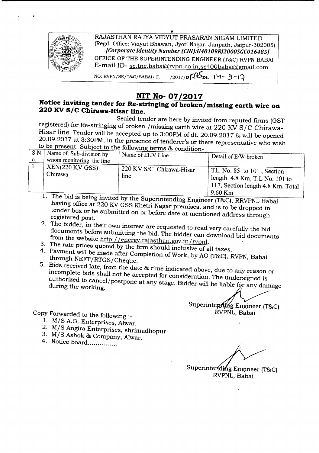

## **NIT No- 07/2017**

## **Notice inviting tender for Re-stringing** of broken *1m*issing **earth wire on 220 KV***SIC* **Chirawa-Hisar line.**

Sealed tender are here by invited from reputed firms (GST registered) for Re-stringing of broken /missing earth wire at 220 KV S/C Chirawa-Hisar line. Tender will be accepted up to 3:00PM of dt. 20.09.2017 & will be opened 20.09.2017 at 3:30PM, in the presence of tenderer's or there representative who wish to be present. Subject to the following terms & condition

| 220 KV S/C Chirawa-Hisar<br>$\vert$ TL. No. 85 to 101, Section<br>Chirawa<br>line<br>length $4.8$ Km, T.L No. 101 to<br>$117$ , Section length 4.8 Km, Total | S.N<br>$\mathbf{O}$ | Name of Sub-division by<br>whom monitoring the line<br>$KEN(220$ KV GSS) | $\frac{1}{2}$<br>Name of EHV Line | Detail of E/W broken |  |  |
|--------------------------------------------------------------------------------------------------------------------------------------------------------------|---------------------|--------------------------------------------------------------------------|-----------------------------------|----------------------|--|--|
| $\text{The area of } \mathcal{L}$                                                                                                                            |                     |                                                                          |                                   | $9.60$ Km            |  |  |

<sup>1.</sup> The bid is being invited by the Superintending Engineer (T&C), RRVPNL Baba having office at 220 KV GSS Khetri Nagar premises, and is to be dropped in tender box or be submitted on or before date at mentioned address through registered post.

- 2. The bidder, in their own interest are requested to read *very* carefully the bid documents before submitting the bid. The bidder can download bid documents from the website http://energy.rajasthan.gov.in/rvpnl.
- 3. The rate prices quoted by the firm should inclusive of all taxes.
- 4. Payment will be made after Completion of Work, by AO (T&C), RVPN, Babai through NEFT/RTGS/Cheque.
- 5. Bids received late, from the date & time indicated above, due to any reason or incomplete bids shall not be accepted for consideration. The undersigned is authorized to cancel/postpone at any stage. Bidder will be liable for any damage during the working.

Superintepding Engineer (T&C) RVPNL, Babai

Copy Forwarded to the following:-

..

- 1. M/S A.G. Enterprises, Alwar.
- 2. M/S Angira Enterprises, shrimadhopur
- 3. M/S Ashok & Company, Alwar.
- 4. Notice board...............

Superintending Engineer (T&C)

RVPNL, Babai